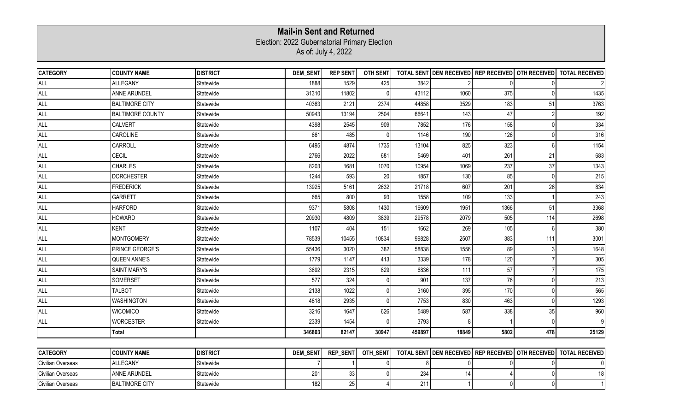## Election: 2022 Gubernatorial Primary Election As of: July 4, 2022 **Mail-in Sent and Returned**

| <b>CATEGORY</b>   | <b>COUNTY NAME</b>      | <b>DISTRICT</b> | <b>DEM_SENT</b> | <b>REP SENT</b> | <b>OTH SENT</b> |        |       |                |                                                   | TOTAL SENT DEM RECEIVED REP RECEIVED OTH RECEIVED TOTAL RECEIVED |
|-------------------|-------------------------|-----------------|-----------------|-----------------|-----------------|--------|-------|----------------|---------------------------------------------------|------------------------------------------------------------------|
| ALL               | <b>ALLEGANY</b>         | Statewide       | 1888            | 1529            | 425             | 3842   |       |                |                                                   |                                                                  |
| <b>ALL</b>        | <b>ANNE ARUNDEL</b>     | Statewide       | 31310           | 11802           |                 | 43112  | 1060  | 375            |                                                   | 1435                                                             |
| ALL               | <b>BALTIMORE CITY</b>   | Statewide       | 40363           | 2121            | 2374            | 44858  | 3529  | 183            | 51                                                | 3763                                                             |
| <b>ALL</b>        | <b>BALTIMORE COUNTY</b> | Statewide       | 50943           | 13194           | 2504            | 66641  | 143   | 47             |                                                   | 192                                                              |
| <b>ALL</b>        | <b>CALVERT</b>          | Statewide       | 4398            | 2545            | 909             | 7852   | 176   | 158            |                                                   | 334                                                              |
| <b>ALL</b>        | CAROLINE                | Statewide       | 661             | 485             |                 | 1146   | 190   | 126            |                                                   | 316                                                              |
| <b>ALL</b>        | CARROLL                 | Statewide       | 6495            | 4874            | 1735            | 13104  | 825   | 323            |                                                   | 1154                                                             |
| <b>ALL</b>        | <b>CECIL</b>            | Statewide       | 2766            | 2022            | 681             | 5469   | 401   | 261            | 21                                                | 683                                                              |
| <b>ALL</b>        | <b>CHARLES</b>          | Statewide       | 8203            | 1681            | 1070            | 10954  | 1069  | 237            | 37                                                | 1343                                                             |
| <b>ALL</b>        | <b>DORCHESTER</b>       | Statewide       | 1244            | 593             | 20              | 1857   | 130   | 85             |                                                   | 215                                                              |
| <b>ALL</b>        | <b>FREDERICK</b>        | Statewide       | 13925           | 5161            | 2632            | 21718  | 607   | 201            | 26                                                | 834                                                              |
| <b>ALL</b>        | <b>GARRETT</b>          | Statewide       | 665             | 800             | 93              | 1558   | 109   | 133            |                                                   | 243                                                              |
| <b>ALL</b>        | <b>HARFORD</b>          | Statewide       | 9371            | 5808            | 1430            | 16609  | 1951  | 1366           | 51                                                | 3368                                                             |
| <b>ALL</b>        | <b>HOWARD</b>           | Statewide       | 20930           | 4809            | 3839            | 29578  | 2079  | 505            | 114                                               | 2698                                                             |
| <b>ALL</b>        | <b>KENT</b>             | Statewide       | 1107            | 404             | 151             | 1662   | 269   | 105            |                                                   | 380                                                              |
| <b>ALL</b>        | <b>MONTGOMERY</b>       | Statewide       | 78539           | 10455           | 10834           | 99828  | 2507  | 383            | 111                                               | 3001                                                             |
| <b>ALL</b>        | PRINCE GEORGE'S         | Statewide       | 55436           | 3020            | 382             | 58838  | 1556  | 89             |                                                   | 1648                                                             |
| <b>ALL</b>        | <b>QUEEN ANNE'S</b>     | Statewide       | 1779            | 1147            | 413             | 3339   | 178   | 120            |                                                   | 305                                                              |
| <b>ALL</b>        | <b>SAINT MARY'S</b>     | Statewide       | 3692            | 2315            | 829             | 6836   | 111   | 57             |                                                   | 175                                                              |
| ALL               | <b>SOMERSET</b>         | Statewide       | 577             | 324             |                 | 901    | 137   | 76             |                                                   | 213                                                              |
| <b>ALL</b>        | <b>TALBOT</b>           | Statewide       | 2138            | 1022            |                 | 3160   | 395   | 170            |                                                   | 565                                                              |
| <b>ALL</b>        | <b>WASHINGTON</b>       | Statewide       | 4818            | 2935            |                 | 7753   | 830   | 463            | n                                                 | 1293                                                             |
| <b>ALL</b>        | <b>WICOMICO</b>         | Statewide       | 3216            | 1647            | 626             | 5489   | 587   | 338            | 35                                                | 960                                                              |
| <b>ALL</b>        | <b>WORCESTER</b>        | Statewide       | 2339            | 1454            |                 | 3793   |       |                |                                                   |                                                                  |
|                   | <b>Total</b>            |                 | 346803          | 82147           | 30947           | 459897 | 18849 | 5802           | 478                                               | 25129                                                            |
|                   |                         |                 |                 |                 |                 |        |       |                |                                                   |                                                                  |
| <b>CATEGORY</b>   | <b>COUNTY NAME</b>      | <b>DISTRICT</b> | <b>DEM SENT</b> | <b>REP SENT</b> | OTH_SENT        |        |       |                | TOTAL SENT DEM RECEIVED REP RECEIVED OTH RECEIVED | <b>TOTAL RECEIVED</b>                                            |
| Civilian Overseas | ALLEGANY                | Statewide       | $\overline{7}$  |                 | 0               | 8      |       | $\overline{0}$ |                                                   | 0                                                                |

Civilian Overseas |ANNE ARUNDEL |Statewide 33 | 0| 14 | 4 | 0| 18 Civilian Overseas |BALTIMORE CITY |Statewide 182 | 25 | 4 | 211 | 1 | 0 | 1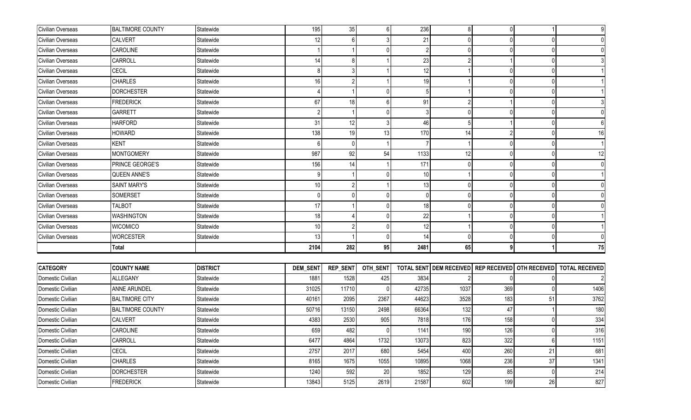| Civilian Overseas | <b>BALTIMORE COUNTY</b> | Statewide       | 195             | 35              | 6            | 236   | 8            | $\overline{0}$                                    |    | 9                     |
|-------------------|-------------------------|-----------------|-----------------|-----------------|--------------|-------|--------------|---------------------------------------------------|----|-----------------------|
| Civilian Overseas | <b>CALVERT</b>          | Statewide       | 12              |                 |              | 21    |              |                                                   |    |                       |
| Civilian Overseas | <b>CAROLINE</b>         | Statewide       |                 |                 | $\Omega$     |       | <sup>0</sup> | <sup>0</sup>                                      |    |                       |
| Civilian Overseas | CARROLL                 | Statewide       | 14              |                 |              | 23    |              |                                                   |    |                       |
| Civilian Overseas | <b>CECIL</b>            | Statewide       |                 |                 |              | 12    |              | <sup>0</sup>                                      |    |                       |
| Civilian Overseas | <b>CHARLES</b>          | Statewide       | 16              |                 |              | 19    |              | <sup>0</sup>                                      |    |                       |
| Civilian Overseas | <b>DORCHESTER</b>       | Statewide       |                 |                 | $\mathbf{0}$ |       |              | <sup>0</sup>                                      |    |                       |
| Civilian Overseas | <b>FREDERICK</b>        | Statewide       | 67              | 18              | 6            | 91    |              |                                                   | O  |                       |
| Civilian Overseas | GARRETT                 | Statewide       |                 |                 | $\Omega$     |       |              |                                                   |    |                       |
| Civilian Overseas | <b>HARFORD</b>          | Statewide       | 31              | 12              | 3            | 46    |              |                                                   |    |                       |
| Civilian Overseas | <b>HOWARD</b>           | Statewide       | 138             | 19              | 13           | 170   | 14           |                                                   |    | 16                    |
| Civilian Overseas | <b>KENT</b>             | Statewide       |                 | $\Omega$        |              |       |              | <sup>0</sup>                                      |    |                       |
| Civilian Overseas | <b>MONTGOMERY</b>       | Statewide       | 987             | 92              | 54           | 1133  | 12           |                                                   |    | 12                    |
| Civilian Overseas | PRINCE GEORGE'S         | Statewide       | 156             | 14              |              | 171   |              | <sup>0</sup>                                      |    |                       |
| Civilian Overseas | <b>QUEEN ANNE'S</b>     | Statewide       |                 |                 | $\Omega$     | 10    |              | <sup>0</sup>                                      |    |                       |
| Civilian Overseas | <b>SAINT MARY'S</b>     | Statewide       | 10              |                 |              | 13    | $\Omega$     | <sup>0</sup>                                      |    |                       |
| Civilian Overseas | SOMERSET                | Statewide       |                 |                 | $\Omega$     |       |              | <sup>0</sup>                                      |    |                       |
| Civilian Overseas | TALBOT                  | Statewide       | 17              |                 | $\Omega$     | 18    |              | <sup>0</sup>                                      |    |                       |
| Civilian Overseas | <b>WASHINGTON</b>       | Statewide       | 18              |                 | $\Omega$     | 22    |              | <sup>0</sup>                                      |    |                       |
| Civilian Overseas | <b>WICOMICO</b>         | Statewide       | 10              |                 | $\Omega$     | 12    |              | <sup>0</sup>                                      |    |                       |
| Civilian Overseas | <b>WORCESTER</b>        | Statewide       | 13              |                 | $\Omega$     | 14    | <sup>0</sup> | $\Omega$                                          |    |                       |
|                   | Total                   |                 | 2104            | 282             | 95           | 2481  | 65           | 9                                                 |    | 75                    |
|                   |                         |                 |                 |                 |              |       |              |                                                   |    |                       |
| <b>CATEGORY</b>   | <b>COUNTY NAME</b>      | <b>DISTRICT</b> | <b>DEM_SENT</b> | <b>REP_SENT</b> | OTH_SENT     |       |              | TOTAL SENT DEM RECEIVED REP RECEIVED OTH RECEIVED |    | <b>TOTAL RECEIVED</b> |
| Domestic Civilian | <b>ALLEGANY</b>         | Statewide       | 1881            | 1528            | 425          | 3834  |              |                                                   |    |                       |
| Domestic Civilian | ANNE ARUNDEL            | Statewide       | 31025           | 11710           | U            | 42735 | 1037         | 369                                               |    | 1406                  |
| Domestic Civilian | <b>BALTIMORE CITY</b>   | Statewide       | 40161           | 2095            | 2367         | 44623 | 3528         | 183                                               | 51 | 3762                  |
| Domestic Civilian | <b>BALTIMORE COUNTY</b> | Statewide       | 50716           | 13150           | 2498         | 66364 | 132          | 47                                                |    | 180                   |
| Domestic Civilian | <b>CALVERT</b>          | Statewide       | 4383            | 2530            | 905          | 7818  | 176          | 158                                               |    | 334                   |
| Domestic Civilian | CAROLINE                | Statewide       | 659             | 482             | $\Omega$     | 1141  | 190          | 126                                               |    | 316                   |
| Domestic Civilian | CARROLL                 | Statewide       | 6477            | 4864            | 1732         | 13073 | 823          | 322                                               | 6  | 1151                  |
| Domestic Civilian | CECIL                   | Statewide       | 2757            | 2017            | 680          | 5454  | 400          | 260                                               | 21 | 681                   |
| Domestic Civilian | <b>CHARLES</b>          | Statewide       | 8165            | 1675            | 1055         | 10895 | 1068         | 236                                               | 37 | 1341                  |
| Domestic Civilian | <b>DORCHESTER</b>       | Statewide       | 1240            | 592             | 20           | 1852  | 129          | 85                                                | 0  | 214                   |
| Domestic Civilian | <b>FREDERICK</b>        | Statewide       | 13843           | 5125            | 2619         | 21587 | 602          | 199                                               | 26 | 827                   |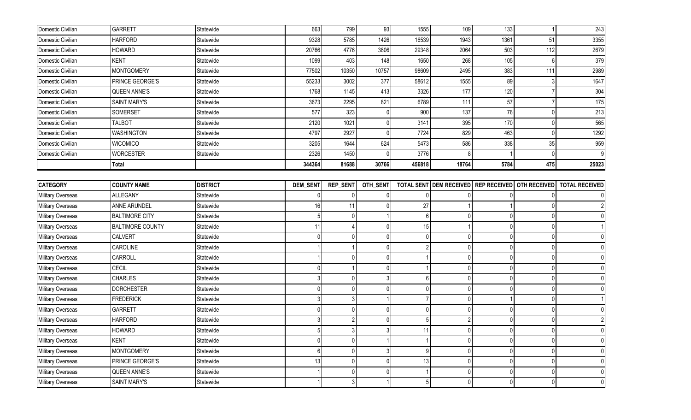| Domestic Civilian        | <b>GARRETT</b>          | Statewide       | 663      | 799             | 93             | 1555   | 109                            | 133                 |              | 243                   |
|--------------------------|-------------------------|-----------------|----------|-----------------|----------------|--------|--------------------------------|---------------------|--------------|-----------------------|
| Domestic Civilian        | <b>HARFORD</b>          | Statewide       | 9328     | 5785            | 1426           | 16539  | 1943                           | 1361                | 51           | 3355                  |
| Domestic Civilian        | <b>HOWARD</b>           | Statewide       | 20766    | 4776            | 3806           | 29348  | 2064                           | 503                 | 112          | 2679                  |
| Domestic Civilian        | <b>KENT</b>             | Statewide       | 1099     | 403             | 148            | 1650   | 268                            | 105                 |              | 379                   |
| Domestic Civilian        | <b>MONTGOMERY</b>       | Statewide       | 77502    | 10350           | 10757          | 98609  | 2495                           | 383                 | 111          | 2989                  |
| Domestic Civilian        | PRINCE GEORGE'S         | Statewide       | 55233    | 3002            | 377            | 58612  | 1555                           | 89                  |              | 1647                  |
| Domestic Civilian        | <b>QUEEN ANNE'S</b>     | Statewide       | 1768     | 1145            | 413            | 3326   | 177                            | 120                 |              | 304                   |
| Domestic Civilian        | SAINT MARY'S            | Statewide       | 3673     | 2295            | 821            | 6789   | 111                            | 57                  |              | 175                   |
| Domestic Civilian        | SOMERSET                | Statewide       | 577      | 323             | $\Omega$       | 900    | 137                            | 76                  |              | 213                   |
| Domestic Civilian        | <b>TALBOT</b>           | Statewide       | 2120     | 1021            | 0              | 3141   | 395                            | 170                 |              | 565                   |
| Domestic Civilian        | <b>WASHINGTON</b>       | Statewide       | 4797     | 2927            | $\Omega$       | 7724   | 829                            | 463                 |              | 1292                  |
| Domestic Civilian        | <b>WICOMICO</b>         | Statewide       | 3205     | 1644            | 624            | 5473   | 586                            | 338                 | 35           | 959                   |
| Domestic Civilian        | <b>WORCESTER</b>        | Statewide       | 2326     | 1450            |                | 3776   |                                |                     |              | 9                     |
|                          | Total                   |                 | 344364   | 81688           | 30766          | 456818 | 18764                          | 5784                | 475          | 25023                 |
|                          |                         |                 |          |                 |                |        |                                |                     |              |                       |
| <b>CATEGORY</b>          | <b>COUNTY NAME</b>      | <b>DISTRICT</b> | DEM_SENT | <b>REP_SENT</b> | OTH_SENT       |        | <b>TOTAL SENT DEM RECEIVED</b> | <b>REP RECEIVED</b> | OTH RECEIVED | <b>TOTAL RECEIVED</b> |
| Military Overseas        | ALLEGANY                | Statewide       |          |                 |                |        |                                |                     |              |                       |
| Military Overseas        | ANNE ARUNDEL            | Statewide       | 16       | 11              | $\Omega$       | 27     |                                |                     |              |                       |
| Military Overseas        | <b>BALTIMORE CITY</b>   | Statewide       |          | $\cup$          |                | 6      |                                | $\Omega$            |              |                       |
| <b>Military Overseas</b> | <b>BALTIMORE COUNTY</b> | Statewide       | 11       |                 | $\Omega$       | 15     |                                | <sup>0</sup>        |              |                       |
| <b>Military Overseas</b> | <b>CALVERT</b>          | Statewide       |          |                 | $\overline{0}$ |        |                                | <sup>0</sup>        |              |                       |
| Military Overseas        | CAROLINE                | Statewide       |          |                 | $\overline{0}$ |        |                                | $\Omega$            |              |                       |
| Military Overseas        | CARROLL                 | Statewide       |          | U               | $\overline{0}$ |        |                                | $\Omega$            |              |                       |
| Military Overseas        | CECIL                   | Statewide       |          |                 | $\Omega$       |        |                                | $\Omega$            |              |                       |
| Military Overseas        | <b>CHARLES</b>          | Statewide       |          | $\Omega$        | 3              |        |                                | $\Omega$            |              |                       |
| Military Overseas        | <b>DORCHESTER</b>       | Statewide       |          | $\Omega$        | $\Omega$       |        | <sup>0</sup>                   | $\Omega$            |              |                       |
| Military Overseas        | <b>FREDERICK</b>        | Statewide       |          |                 |                |        | $\Omega$                       |                     |              |                       |
| Military Overseas        | <b>GARRETT</b>          | Statewide       |          | $\Omega$        | $\overline{0}$ |        |                                | <sup>0</sup>        |              |                       |
| Military Overseas        | <b>HARFORD</b>          | Statewide       |          |                 | $\overline{0}$ |        |                                | $\Omega$            |              |                       |
| Military Overseas        | <b>HOWARD</b>           | Statewide       |          |                 | $\mathbf{z}$   | 11     |                                |                     |              |                       |
| Military Overseas        | <b>KENT</b>             | Statewide       |          | $\Omega$        |                |        |                                | $\Omega$            |              | $\overline{0}$        |
| Military Overseas        | <b>MONTGOMERY</b>       | Statewide       | 6        | $\cup$          | 3              |        |                                | $\Omega$            | O            | $\mathbf{0}$          |
| Military Overseas        | PRINCE GEORGE'S         | Statewide       | 13       | $\Omega$        | $\overline{0}$ | 13     |                                | $\overline{0}$      | O            | $\overline{0}$        |
| Military Overseas        | <b>QUEEN ANNE'S</b>     | Statewide       |          | $\Omega$        | $\mathbf 0$    |        |                                | 0                   |              | 0                     |
| Military Overseas        | <b>SAINT MARY'S</b>     | Statewide       |          | 3               |                |        |                                | $\overline{0}$      | $\mathbf 0$  | $\overline{0}$        |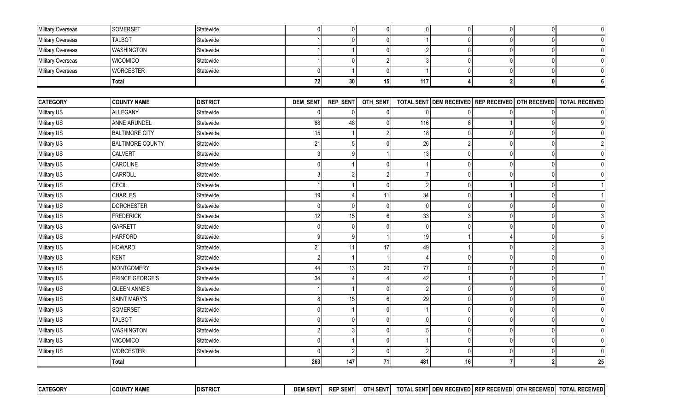| Military Overseas | <b>SOMERSET</b>         | Statewide       | $\overline{0}$ | $\mathbf 0$    | $\overline{0}$            | $\mathbf{0}$   | $\overline{0}$ | $\overline{0}$                       | $\overline{0}$ | 0                     |
|-------------------|-------------------------|-----------------|----------------|----------------|---------------------------|----------------|----------------|--------------------------------------|----------------|-----------------------|
| Military Overseas | <b>TALBOT</b>           | Statewide       |                |                | $\Omega$                  |                |                | $\Omega$                             | $\Omega$       | 0                     |
| Military Overseas | <b>WASHINGTON</b>       | Statewide       |                |                | $\mathbf{0}$              |                |                | $\Omega$                             |                | $\overline{0}$        |
| Military Overseas | <b>WICOMICO</b>         | Statewide       |                |                | $\overline{2}$            |                |                | $\Omega$                             |                | $\mathbf{0}$          |
| Military Overseas | <b>WORCESTER</b>        | Statewide       | $\mathbf{0}$   |                | $\mathbf{0}$              |                | <sup>0</sup>   | $\overline{0}$                       | $\Omega$       | $\mathbf{0}$          |
|                   | <b>Total</b>            |                 | ${\bf 72}$     | $30\,$         | 15                        | 117            |                | 2 <sup>1</sup>                       | $\mathbf{0}$   | 6                     |
|                   |                         |                 |                |                |                           |                |                |                                      |                |                       |
| <b>CATEGORY</b>   | <b>COUNTY NAME</b>      | <b>DISTRICT</b> | DEM_SENT       | REP_SENT       | OTH_SENT                  |                |                | TOTAL SENT DEM RECEIVED REP RECEIVED | OTH RECEIVED   | <b>TOTAL RECEIVED</b> |
| Military US       | ALLEGANY                | Statewide       | $\Omega$       | $\Omega$       | $\mathbf 0$               | U              |                |                                      |                | 0                     |
| Military US       | <b>ANNE ARUNDEL</b>     | Statewide       | 68             | 48             | $\Omega$                  | 116            |                |                                      |                | 9                     |
| Military US       | <b>BALTIMORE CITY</b>   | Statewide       | 15             |                | $\mathfrak{p}$            | 18             | $\Omega$       | $\overline{0}$                       |                | $\Omega$              |
| Military US       | <b>BALTIMORE COUNTY</b> | Statewide       | 21             |                | $\mathbf{0}$              | 26             |                | $\Omega$                             | $\Omega$       |                       |
| Military US       | <b>CALVERT</b>          | Statewide       | 3              | q              |                           | 13             | $\Omega$       | $\overline{0}$                       | $\Omega$       | $\mathbf{0}$          |
| Military US       | CAROLINE                | Statewide       | $\Omega$       |                | $\mathbf{0}$              |                | $\Omega$       | $\Omega$                             | $\Omega$       | $\mathbf{0}$          |
| Military US       | CARROLL                 | Statewide       | 3              | $\mathcal{P}$  | $\overline{2}$            |                | $\Omega$       | $\Omega$                             | $\Omega$       | $\Omega$              |
| Military US       | <b>CECIL</b>            | Statewide       |                |                | $\Omega$                  | $\mathfrak{p}$ | $\Omega$       |                                      | $\Omega$       |                       |
| Military US       | <b>CHARLES</b>          | Statewide       | 19             |                | 11                        | 34             | $\Omega$       |                                      | $\Omega$       |                       |
| Military US       | <b>DORCHESTER</b>       | Statewide       | $\Omega$       | $\Omega$       | $\mathbf 0$               | $\Omega$       |                | $\Omega$                             |                | $\Omega$              |
| Military US       | <b>FREDERICK</b>        | Statewide       | 12             | 15             | $\,6\,$                   | 33             |                | $\Omega$                             | $\Omega$       | 3                     |
| Military US       | <b>GARRETT</b>          | Statewide       | $\Omega$       | <sup>0</sup>   | $\mathbf{0}$              | $\Omega$       | $\Omega$       | $\Omega$                             | $\Omega$       | $\Omega$              |
| Military US       | <b>HARFORD</b>          | Statewide       | 9              | 9              |                           | 19             |                |                                      | $\Omega$       | 5                     |
| Military US       | <b>HOWARD</b>           | Statewide       | 21             | 11             | 17                        | 49             |                | $\Omega$                             |                | 3                     |
| Military US       | <b>KENT</b>             | Statewide       | $\overline{2}$ |                |                           |                | $\Omega$       | $\overline{0}$                       | $\Omega$       | $\mathbf 0$           |
| Military US       | <b>MONTGOMERY</b>       | Statewide       | 44             | 13             | 20                        | 77             | $\Omega$       | $\overline{0}$                       | $\Omega$       | $\mathbf{0}$          |
| Military US       | <b>PRINCE GEORGE'S</b>  | Statewide       | 34             |                | $\boldsymbol{\varLambda}$ | 42             |                | $\Omega$                             | $\Omega$       |                       |
| Military US       | <b>QUEEN ANNE'S</b>     | Statewide       |                |                | $\mathbf 0$               |                | $\Omega$       | $\Omega$                             |                | $\mathbf{0}$          |
| Military US       | <b>SAINT MARY'S</b>     | Statewide       | 8              | 15             | $\,6\,$                   | 29             | $\Omega$       | $\overline{0}$                       | $\Omega$       | $\mathbf{0}$          |
| Military US       | SOMERSET                | Statewide       | $\Omega$       |                | $\mathbf{0}$              |                | $\Omega$       | $\overline{0}$                       | $\Omega$       | $\mathbf{0}$          |
| Military US       | <b>TALBOT</b>           | Statewide       | $\Omega$       | $\Omega$       | $\mathbf 0$               | $\Omega$       | $\Omega$       | $\Omega$                             | $\Omega$       | 0                     |
| Military US       | <b>WASHINGTON</b>       | Statewide       | 2              |                | $\mathbf 0$               |                | $\Omega$       | $\overline{0}$                       | $\Omega$       | 0                     |
| Military US       | <b>WICOMICO</b>         | Statewide       | $\mathbf{0}$   |                | $\mathbf 0$               |                | $\Omega$       | $\overline{0}$                       | $\Omega$       | 0                     |
| Military US       | <b>WORCESTER</b>        | Statewide       | U              | $\overline{2}$ | $\Omega$                  |                | $\Omega$       | $\overline{0}$                       | $\Omega$       | $\mathbf{0}$          |
|                   | <b>Total</b>            |                 | 263            | 147            | 71                        | 481            | 16             |                                      | $\mathbf{c}$   | 25                    |

| <b>CATEGORY</b> | <b>COUNTY NAME</b> | <b>IDISTRICT</b> | <b>DEM</b><br><b>SENT</b> | DED CENT<br>- ƏEN L<br>nЕ | OTH SENT | <b>TOTA</b><br><b>CENT</b><br>5 EN | . I DEM RECEIVED I RET<br><b>REGEIVE</b> | IVED I<br>cn oi<br>ĸı<br><b>REVEIVI</b> | <b>COTH RECEIVED</b><br>EIVEN.<br>-ULIVED. | . RECEIVED l<br>TOTAL |
|-----------------|--------------------|------------------|---------------------------|---------------------------|----------|------------------------------------|------------------------------------------|-----------------------------------------|--------------------------------------------|-----------------------|
|                 |                    |                  |                           |                           |          |                                    |                                          |                                         |                                            |                       |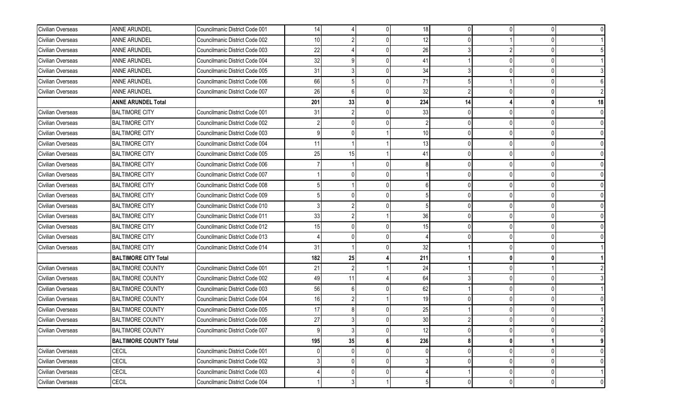| Civilian Overseas | ANNE ARUNDEL                  | Councilmanic District Code 001 | 14  |              | 0 | 18              | $\Omega$ | <sup>0</sup> | $\Omega$     |    |
|-------------------|-------------------------------|--------------------------------|-----|--------------|---|-----------------|----------|--------------|--------------|----|
| Civilian Overseas | <b>ANNE ARUNDEL</b>           | Councilmanic District Code 002 | 10  |              |   | 12              |          |              |              |    |
| Civilian Overseas | <b>ANNE ARUNDEL</b>           | Councilmanic District Code 003 | 22  |              |   | 26              |          |              |              |    |
| Civilian Overseas | <b>ANNE ARUNDEL</b>           | Councilmanic District Code 004 | 32  |              |   | 41              |          |              | <sup>0</sup> |    |
| Civilian Overseas | ANNE ARUNDEL                  | Councilmanic District Code 005 | 31  |              |   | 34              |          |              |              |    |
| Civilian Overseas | ANNE ARUNDEL                  | Councilmanic District Code 006 | 66  |              |   | 71              |          |              |              |    |
| Civilian Overseas | ANNE ARUNDEL                  | Councilmanic District Code 007 | 26  |              |   | 32              | 2        |              |              |    |
|                   | <b>ANNE ARUNDEL Total</b>     |                                | 201 | 33           | 0 | 234             | 14       |              |              | 18 |
| Civilian Overseas | <b>BALTIMORE CITY</b>         | Councilmanic District Code 001 | 31  |              |   | 33              |          |              |              |    |
| Civilian Overseas | <b>BALTIMORE CITY</b>         | Councilmanic District Code 002 |     |              |   |                 |          |              |              |    |
| Civilian Overseas | <b>BALTIMORE CITY</b>         | Councilmanic District Code 003 |     |              |   | 10              |          |              |              |    |
| Civilian Overseas | <b>BALTIMORE CITY</b>         | Councilmanic District Code 004 | 11  |              |   | 13              | $\cap$   |              |              |    |
| Civilian Overseas | <b>BALTIMORE CITY</b>         | Councilmanic District Code 005 | 25  | 15           |   | 41              |          |              |              |    |
| Civilian Overseas | <b>BALTIMORE CITY</b>         | Councilmanic District Code 006 |     |              |   |                 |          |              |              |    |
| Civilian Overseas | <b>BALTIMORE CITY</b>         | Councilmanic District Code 007 |     |              |   |                 |          |              |              |    |
| Civilian Overseas | <b>BALTIMORE CITY</b>         | Councilmanic District Code 008 |     |              |   |                 |          |              |              |    |
| Civilian Overseas | <b>BALTIMORE CITY</b>         | Councilmanic District Code 009 |     |              |   |                 |          |              |              |    |
| Civilian Overseas | <b>BALTIMORE CITY</b>         | Councilmanic District Code 010 |     |              |   |                 |          |              |              |    |
| Civilian Overseas | <b>BALTIMORE CITY</b>         | Councilmanic District Code 011 | 33  |              |   | 36              |          |              |              |    |
| Civilian Overseas | <b>BALTIMORE CITY</b>         | Councilmanic District Code 012 | 15  |              |   | 15              |          |              |              |    |
| Civilian Overseas | <b>BALTIMORE CITY</b>         | Councilmanic District Code 013 |     |              |   |                 |          |              |              |    |
| Civilian Overseas | <b>BALTIMORE CITY</b>         | Councilmanic District Code 014 | 31  |              |   | 32              |          |              |              |    |
|                   | <b>BALTIMORE CITY Total</b>   |                                | 182 | 25           |   | 211             |          |              |              |    |
| Civilian Overseas | <b>BALTIMORE COUNTY</b>       | Councilmanic District Code 001 | 21  |              |   | 24              |          |              |              |    |
| Civilian Overseas | <b>BALTIMORE COUNTY</b>       | Councilmanic District Code 002 | 49  | 11           |   | 64              |          |              |              |    |
| Civilian Overseas | <b>BALTIMORE COUNTY</b>       | Councilmanic District Code 003 | 56  |              |   | 62              |          |              |              |    |
| Civilian Overseas | <b>BALTIMORE COUNTY</b>       | Councilmanic District Code 004 | 16  |              |   | 19              |          |              |              |    |
| Civilian Overseas | <b>BALTIMORE COUNTY</b>       | Councilmanic District Code 005 | 17  |              |   | 25              |          |              |              |    |
| Civilian Overseas | <b>BALTIMORE COUNTY</b>       | Councilmanic District Code 006 | 27  |              |   | 30              |          |              |              |    |
| Civilian Overseas | <b>BALTIMORE COUNTY</b>       | Councilmanic District Code 007 |     |              |   | 12 <sup>1</sup> |          |              |              |    |
|                   | <b>BALTIMORE COUNTY Total</b> |                                | 195 | 35           | 6 | 236             | 8        | $\mathbf{0}$ |              | 9  |
| Civilian Overseas | <b>CECIL</b>                  | Councilmanic District Code 001 |     |              |   | $\Omega$        | $\Omega$ |              | 0            | 0  |
| Civilian Overseas | CECIL                         | Councilmanic District Code 002 |     |              | 0 |                 | $\Omega$ |              | 0            |    |
| Civilian Overseas | CECIL                         | Councilmanic District Code 003 |     |              |   |                 |          |              | 0            |    |
| Civilian Overseas | <b>CECIL</b>                  | Councilmanic District Code 004 |     | $\mathbf{3}$ |   | 5               | $\Omega$ | $\Omega$     | $\Omega$     | 0  |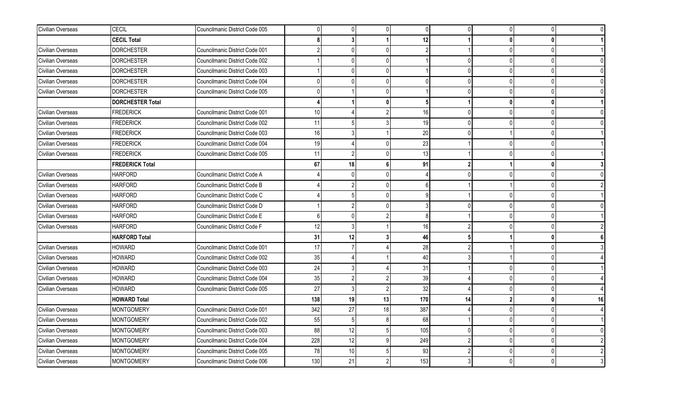| Civilian Overseas | CECIL                   | Councilmanic District Code 005 | 0   | $\Omega$       | $\overline{0}$ | $\pmb{0}$       | n        | $\Omega$     | $\Omega$ |    |
|-------------------|-------------------------|--------------------------------|-----|----------------|----------------|-----------------|----------|--------------|----------|----|
|                   | <b>CECIL Total</b>      |                                | ጸ   |                |                | 12              |          |              |          |    |
| Civilian Overseas | <b>DORCHESTER</b>       | Councilmanic District Code 001 |     |                | <sup>n</sup>   | $\mathfrak{p}$  |          | $\Omega$     |          |    |
| Civilian Overseas | <b>DORCHESTER</b>       | Councilmanic District Code 002 |     | U              | $\Omega$       |                 |          | $\Omega$     |          |    |
| Civilian Overseas | DORCHESTER              | Councilmanic District Code 003 |     |                | 0              |                 |          |              |          |    |
| Civilian Overseas | <b>DORCHESTER</b>       | Councilmanic District Code 004 |     |                | $\Omega$       |                 |          | $\Omega$     |          |    |
| Civilian Overseas | <b>DORCHESTER</b>       | Councilmanic District Code 005 |     |                | <sup>0</sup>   |                 |          | $\cup$       |          |    |
|                   | <b>DORCHESTER Total</b> |                                |     |                | $\mathbf{0}$   | 5               |          | $\mathbf{r}$ | n        |    |
| Civilian Overseas | <b>FREDERICK</b>        | Councilmanic District Code 001 | 10  |                |                | 16              |          | $\Omega$     |          |    |
| Civilian Overseas | <b>FREDERICK</b>        | Councilmanic District Code 002 | 11  |                |                | 19              |          | $\Omega$     |          |    |
| Civilian Overseas | <b>FREDERICK</b>        | Councilmanic District Code 003 | 16  | 3              |                | 20              |          |              |          |    |
| Civilian Overseas | <b>FREDERICK</b>        | Councilmanic District Code 004 | 19  |                | <sup>0</sup>   | 23              |          | $\cap$       |          |    |
| Civilian Overseas | <b>FREDERICK</b>        | Councilmanic District Code 005 | 11  |                | $\Omega$       | 13              |          |              |          |    |
|                   | <b>FREDERICK Total</b>  |                                | 67  | 18             | 6              | 91              | 2        |              | n        |    |
| Civilian Overseas | <b>HARFORD</b>          | Councilmanic District Code A   |     | 0              | $\Omega$       |                 |          | $\Omega$     |          |    |
| Civilian Overseas | <b>HARFORD</b>          | Councilmanic District Code B   |     |                | $\Omega$       | $6\overline{6}$ |          |              |          |    |
| Civilian Overseas | <b>HARFORD</b>          | Councilmanic District Code C   |     |                | $\Omega$       | q               |          | $\cup$       |          |    |
| Civilian Overseas | <b>HARFORD</b>          | Councilmanic District Code D   |     |                | <sup>0</sup>   |                 |          | $\cup$       |          |    |
| Civilian Overseas | <b>HARFORD</b>          | Councilmanic District Code E   | 6   |                |                | 8               |          | $\cup$       |          |    |
| Civilian Overseas | <b>HARFORD</b>          | Councilmanic District Code F   | 12  |                |                | 16              |          |              |          |    |
|                   | <b>HARFORD Total</b>    |                                | 31  | 12             | 3              | 46              |          |              |          |    |
| Civilian Overseas | <b>HOWARD</b>           | Councilmanic District Code 001 | 17  | $\overline{7}$ |                | 28              |          |              |          |    |
| Civilian Overseas | <b>HOWARD</b>           | Councilmanic District Code 002 | 35  |                |                | 40              |          |              |          |    |
| Civilian Overseas | HOWARD                  | Councilmanic District Code 003 | 24  |                |                | 31              |          | $\Omega$     |          |    |
| Civilian Overseas | <b>HOWARD</b>           | Councilmanic District Code 004 | 35  |                |                | 39              |          | $\Omega$     |          |    |
| Civilian Overseas | <b>HOWARD</b>           | Councilmanic District Code 005 | 27  | $\mathbf{3}$   | $\mathfrak{p}$ | 32              |          | $\cup$       |          |    |
|                   | <b>HOWARD Total</b>     |                                | 138 | 19             | 13             | 170             | 14       |              |          | 16 |
| Civilian Overseas | MONTGOMERY              | Councilmanic District Code 001 | 342 | 27             | 18             | 387             |          | $\Omega$     |          |    |
| Civilian Overseas | <b>MONTGOMERY</b>       | Councilmanic District Code 002 | 55  | 5              | 8              | 68              |          | $\Omega$     |          |    |
| Civilian Overseas | <b>MONTGOMERY</b>       | Councilmanic District Code 003 | 88  | 12             | 5              | 105             | $\Omega$ | $\Omega$     |          |    |
| Civilian Overseas | <b>MONTGOMERY</b>       | Councilmanic District Code 004 | 228 | 12             | 9              | 249             | 2        | $\Omega$     |          |    |
| Civilian Overseas | <b>MONTGOMERY</b>       | Councilmanic District Code 005 | 78  | 10             |                | 93              |          | $\Omega$     |          |    |
| Civilian Overseas | <b>MONTGOMERY</b>       | Councilmanic District Code 006 | 130 | 21             |                | 153             |          | <sup>0</sup> |          |    |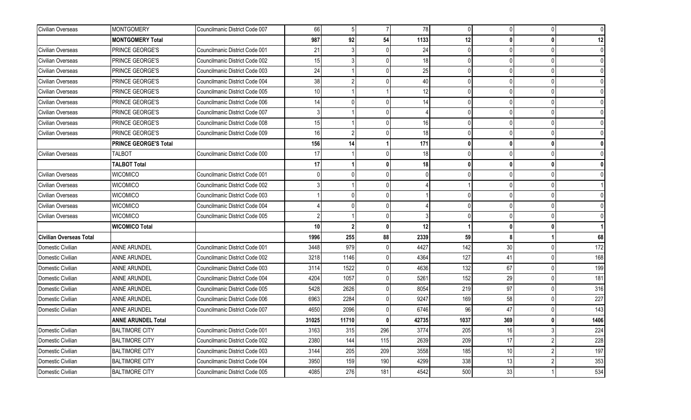| Civilian Overseas              | <b>MONTGOMERY</b>            | Councilmanic District Code 007 | 66              | 5              | $\overline{7}$ | 78    | $\Omega$     | $\overline{0}$ | $\Omega$     |      |
|--------------------------------|------------------------------|--------------------------------|-----------------|----------------|----------------|-------|--------------|----------------|--------------|------|
|                                | <b>MONTGOMERY Total</b>      |                                | 987             | 92             | 54             | 1133  | 12           | 0              |              | 12   |
| Civilian Overseas              | PRINCE GEORGE'S              | Councilmanic District Code 001 | 21              |                |                | 24    |              | $\Omega$       |              |      |
| Civilian Overseas              | PRINCE GEORGE'S              | Councilmanic District Code 002 | 15              | 3              | U              | 18    |              | $\overline{0}$ | U            |      |
| Civilian Overseas              | PRINCE GEORGE'S              | Councilmanic District Code 003 | 24              |                | n١             | 25    | $\Omega$     | $\Omega$       |              |      |
| Civilian Overseas              | PRINCE GEORGE'S              | Councilmanic District Code 004 | 38              | 2              |                | 40    |              | $\Omega$       |              |      |
| Civilian Overseas              | PRINCE GEORGE'S              | Councilmanic District Code 005 | 10              |                |                | 12    |              | 0              |              |      |
| Civilian Overseas              | PRINCE GEORGE'S              | Councilmanic District Code 006 | 14              | n              | n١             | 14    |              | $\Omega$       | <sup>n</sup> |      |
| Civilian Overseas              | PRINCE GEORGE'S              | Councilmanic District Code 007 |                 |                |                |       |              | $\overline{0}$ | $\Omega$     |      |
| Civilian Overseas              | PRINCE GEORGE'S              | Councilmanic District Code 008 | 15              |                | n١             | 16    | $\Omega$     | $\overline{0}$ | $\Omega$     |      |
| Civilian Overseas              | PRINCE GEORGE'S              | Councilmanic District Code 009 | 16              | $\overline{2}$ | ٥l             | 18    | $\Omega$     | $\overline{0}$ |              |      |
|                                | <b>PRINCE GEORGE'S Total</b> |                                | 156             | 14             |                | 171   | $\mathbf{0}$ | $\mathbf{0}$   |              |      |
| Civilian Overseas              | <b>TALBOT</b>                | Councilmanic District Code 000 | 17              |                | U              | 18    |              | $\Omega$       |              |      |
|                                | <b>TALBOT Total</b>          |                                | 17              |                | $\mathbf{0}$   | 18    | $\mathbf{0}$ | $\mathbf{0}$   |              |      |
| Civilian Overseas              | <b>WICOMICO</b>              | Councilmanic District Code 001 |                 |                | n١             |       |              | $\overline{0}$ |              |      |
| Civilian Overseas              | <b>WICOMICO</b>              | Councilmanic District Code 002 |                 |                |                |       |              | $\overline{0}$ |              |      |
| Civilian Overseas              | WICOMICO                     | Councilmanic District Code 003 |                 |                |                |       |              | 0              |              |      |
| Civilian Overseas              | <b>WICOMICO</b>              | Councilmanic District Code 004 |                 |                | $\Omega$       |       |              | $\Omega$       |              |      |
| Civilian Overseas              | <b>WICOMICO</b>              | Councilmanic District Code 005 | 2               |                |                |       |              | $\Omega$       | <sup>n</sup> |      |
|                                | <b>WICOMICO Total</b>        |                                | 10 <sup>1</sup> | $\overline{2}$ | $\mathbf{0}$   | 12    |              | $\mathbf{0}$   |              |      |
| <b>Civilian Overseas Total</b> |                              |                                | 1996            | 255            | 88             | 2339  | 59           | $\mathbf{8}$   |              | 68   |
| Domestic Civilian              | ANNE ARUNDEL                 | Councilmanic District Code 001 | 3448            | 979            |                | 4427  | 142          | 30             |              | 172  |
| Domestic Civilian              | ANNE ARUNDEL                 | Councilmanic District Code 002 | 3218            | 1146           | 0              | 4364  | 127          | 41             | 0            | 168  |
| Domestic Civilian              | <b>ANNE ARUNDEL</b>          | Councilmanic District Code 003 | 3114            | 1522           |                | 4636  | 132          | 67             | $\Omega$     | 199  |
| Domestic Civilian              | ANNE ARUNDEL                 | Councilmanic District Code 004 | 4204            | 1057           |                | 5261  | 152          | 29             | <sup>0</sup> | 181  |
| Domestic Civilian              | ANNE ARUNDEL                 | Councilmanic District Code 005 | 5428            | 2626           | U              | 8054  | 219          | 97             | $\Omega$     | 316  |
| Domestic Civilian              | ANNE ARUNDEL                 | Councilmanic District Code 006 | 6963            | 2284           |                | 9247  | 169          | 58             |              | 227  |
| Domestic Civilian              | ANNE ARUNDEL                 | Councilmanic District Code 007 | 4650            | 2096           | U.             | 6746  | 96           | 47             | 0            | 143  |
|                                | <b>ANNE ARUNDEL Total</b>    |                                | 31025           | 11710          | <b>n</b>       | 42735 | 1037         | 369            |              | 1406 |
| Domestic Civilian              | <b>BALTIMORE CITY</b>        | Councilmanic District Code 001 | 3163            | 315            | 296            | 3774  | 205          | 16             |              | 224  |
| Domestic Civilian              | <b>BALTIMORE CITY</b>        | Councilmanic District Code 002 | 2380            | 144            | 115            | 2639  | 209          | 17             |              | 228  |
| Domestic Civilian              | <b>BALTIMORE CITY</b>        | Councilmanic District Code 003 | 3144            | 205            | 209            | 3558  | 185          | 10             |              | 197  |
| Domestic Civilian              | <b>BALTIMORE CITY</b>        | Councilmanic District Code 004 | 3950            | 159            | 190            | 4299  | 338          | 13             |              | 353  |
| Domestic Civilian              | <b>BALTIMORE CITY</b>        | Councilmanic District Code 005 | 4085            | 276            | 181            | 4542  | 500          | 33             |              | 534  |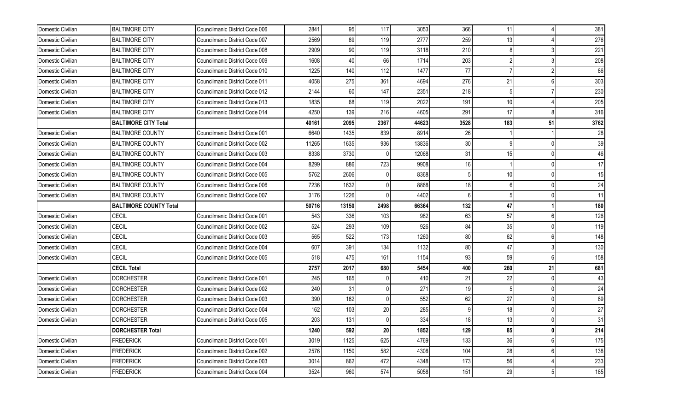| Domestic Civilian | <b>BALTIMORE CITY</b>         | Councilmanic District Code 006 | 2841  | 95    | 117          | 3053  | 366        | 11  |                 | 381        |
|-------------------|-------------------------------|--------------------------------|-------|-------|--------------|-------|------------|-----|-----------------|------------|
| Domestic Civilian | <b>BALTIMORE CITY</b>         | Councilmanic District Code 007 | 2569  | 89    | 119          | 2777  | 259        | 13  |                 | 276        |
| Domestic Civilian | <b>BALTIMORE CITY</b>         | Councilmanic District Code 008 | 2909  | 90    | 119          | 3118  | 210        |     |                 | 221        |
| Domestic Civilian | <b>BALTIMORE CITY</b>         | Councilmanic District Code 009 | 1608  | 40    | 66           | 1714  | 203        |     |                 | 208        |
| Domestic Civilian | <b>BALTIMORE CITY</b>         | Councilmanic District Code 010 | 1225  | 140   | 112          | 1477  | 77         |     |                 | 86         |
| Domestic Civilian | <b>BALTIMORE CITY</b>         | Councilmanic District Code 011 | 4058  | 275   | 361          | 4694  | 276        | 21  | 6               | 303        |
| Domestic Civilian | <b>BALTIMORE CITY</b>         | Councilmanic District Code 012 | 2144  | 60    | 147          | 2351  | 218        |     |                 | 230        |
| Domestic Civilian | <b>BALTIMORE CITY</b>         | Councilmanic District Code 013 | 1835  | 68    | 119          | 2022  | 191        | 10  |                 | 205        |
| Domestic Civilian | <b>BALTIMORE CITY</b>         | Councilmanic District Code 014 | 4250  | 139   | 216          | 4605  | 291        | 17  |                 | 316        |
|                   | <b>BALTIMORE CITY Total</b>   |                                | 40161 | 2095  | 2367         | 44623 | 3528       | 183 | 51              | 3762       |
| Domestic Civilian | <b>BALTIMORE COUNTY</b>       | Councilmanic District Code 001 | 6640  | 1435  | 839          | 8914  | 26         |     |                 | 28         |
| Domestic Civilian | <b>BALTIMORE COUNTY</b>       | Councilmanic District Code 002 | 11265 | 1635  | 936          | 13836 | 30         |     | 0               | 39         |
| Domestic Civilian | <b>BALTIMORE COUNTY</b>       | Councilmanic District Code 003 | 8338  | 3730  |              | 12068 | 31         | 15  | $\Omega$        | 46         |
| Domestic Civilian | <b>BALTIMORE COUNTY</b>       | Councilmanic District Code 004 | 8299  | 886   | 723          | 9908  | 16         |     |                 | 17         |
| Domestic Civilian | <b>BALTIMORE COUNTY</b>       | Councilmanic District Code 005 | 5762  | 2606  |              | 8368  | 5          | 10  | $\Omega$        | 15         |
| Domestic Civilian | <b>BALTIMORE COUNTY</b>       | Councilmanic District Code 006 | 7236  | 1632  | <sup>0</sup> | 8868  | 18         | 6   | <sup>0</sup>    | 24         |
| Domestic Civilian | <b>BALTIMORE COUNTY</b>       | Councilmanic District Code 007 | 3176  | 1226  |              | 4402  | 6          |     |                 | 11         |
|                   |                               |                                |       |       |              |       |            |     |                 |            |
|                   | <b>BALTIMORE COUNTY Total</b> |                                | 50716 | 13150 | 2498         | 66364 | 132        | 47  |                 | 180        |
| Domestic Civilian | CECIL                         | Councilmanic District Code 001 | 543   | 336   | 103          | 982   | 63         | 57  | $6\overline{6}$ | 126        |
| Domestic Civilian | <b>CECIL</b>                  | Councilmanic District Code 002 | 524   | 293   | 109          | 926   | 84         | 35  | $\Omega$        | 119        |
| Domestic Civilian | <b>CECIL</b>                  | Councilmanic District Code 003 | 565   | 522   | 173          | 1260  | 80         | 62  | 6               | 148        |
| Domestic Civilian | CECIL                         | Councilmanic District Code 004 | 607   | 391   | 134          | 1132  | 80         | 47  |                 | 130        |
| Domestic Civilian | CECIL                         | Councilmanic District Code 005 | 518   | 475   | 161          | 1154  | 93         | 59  | $6\overline{6}$ | 158        |
|                   | <b>CECIL Total</b>            |                                | 2757  | 2017  | 680          | 5454  | 400        | 260 | 21              | 681        |
| Domestic Civilian | <b>DORCHESTER</b>             | Councilmanic District Code 001 | 245   | 165   |              | 410   | 21         | 22  |                 | 43         |
| Domestic Civilian | <b>DORCHESTER</b>             | Councilmanic District Code 002 | 240   | 31    | $\Omega$     | 271   | 19         |     | $\Omega$        | 24         |
| Domestic Civilian | <b>DORCHESTER</b>             | Councilmanic District Code 003 | 390   | 162   |              | 552   | 62         | 27  |                 | 89         |
| Domestic Civilian | <b>DORCHESTER</b>             | Councilmanic District Code 004 | 162   | 103   | 20           | 285   | 9          | 18  | $\Omega$        | 27         |
| Domestic Civilian | <b>DORCHESTER</b>             | Councilmanic District Code 005 | 203   | 131   |              | 334   | 18         | 13  | U               | 31         |
|                   | <b>DORCHESTER Total</b>       |                                | 1240  | 592   | 20           | 1852  | 129        | 85  | $\mathbf{0}$    | 214        |
| Domestic Civilian | FREDERICK                     | Councilmanic District Code 001 | 3019  | 1125  | 625          | 4769  | 133        | 36  | $6\overline{6}$ | 175        |
| Domestic Civilian | FREDERICK                     | Councilmanic District Code 002 | 2576  | 1150  | 582          | 4308  | 104        | 28  | 6               | 138        |
| Domestic Civilian | FREDERICK                     | Councilmanic District Code 003 | 3014  | 862   | 472          | 4348  | 173<br>151 | 56  |                 | 233<br>185 |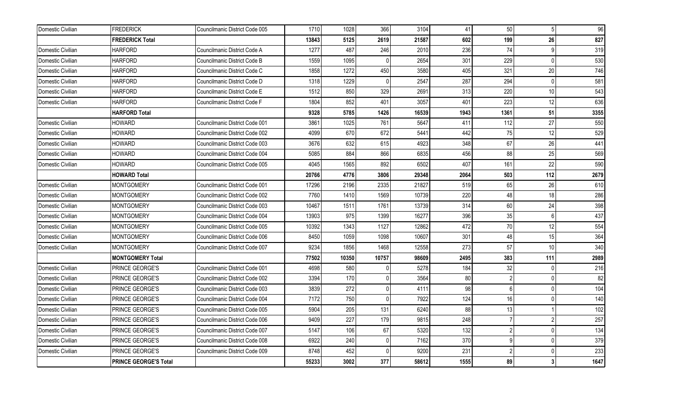| Domestic Civilian | <b>FREDERICK</b>             | Councilmanic District Code 005 | 1710  | 1028  | 366          | 3104  | 41   | 50             | 5        | 96   |
|-------------------|------------------------------|--------------------------------|-------|-------|--------------|-------|------|----------------|----------|------|
|                   | <b>FREDERICK Total</b>       |                                | 13843 | 5125  | 2619         | 21587 | 602  | 199            | 26       | 827  |
| Domestic Civilian | <b>HARFORD</b>               | Councilmanic District Code A   | 1277  | 487   | 246          | 2010  | 236  | 74             |          | 319  |
| Domestic Civilian | <b>HARFORD</b>               | Councilmanic District Code B   | 1559  | 1095  | 0            | 2654  | 301  | 229            | $\Omega$ | 530  |
| Domestic Civilian | <b>HARFORD</b>               | Councilmanic District Code C   | 1858  | 1272  | 450          | 3580  | 405  | 321            | 20       | 746  |
| Domestic Civilian | <b>HARFORD</b>               | Councilmanic District Code D   | 1318  | 1229  | U            | 2547  | 287  | 294            | $\Omega$ | 581  |
| Domestic Civilian | <b>HARFORD</b>               | Councilmanic District Code E   | 1512  | 850   | 329          | 2691  | 313  | 220            | 10       | 543  |
| Domestic Civilian | <b>HARFORD</b>               | Councilmanic District Code F   | 1804  | 852   | 401          | 3057  | 401  | 223            | 12       | 636  |
|                   | <b>HARFORD Total</b>         |                                | 9328  | 5785  | 1426         | 16539 | 1943 | 1361           | 51       | 3355 |
| Domestic Civilian | <b>HOWARD</b>                | Councilmanic District Code 001 | 3861  | 1025  | 761          | 5647  | 411  | 112            | 27       | 550  |
| Domestic Civilian | <b>HOWARD</b>                | Councilmanic District Code 002 | 4099  | 670   | 672          | 5441  | 442  | 75             | 12       | 529  |
| Domestic Civilian | HOWARD                       | Councilmanic District Code 003 | 3676  | 632   | 615          | 4923  | 348  | 67             | 26       | 441  |
| Domestic Civilian | <b>HOWARD</b>                | Councilmanic District Code 004 | 5085  | 884   | 866          | 6835  | 456  | 88             | 25       | 569  |
| Domestic Civilian | <b>HOWARD</b>                | Councilmanic District Code 005 | 4045  | 1565  | 892          | 6502  | 407  | 161            | 22       | 590  |
|                   | <b>HOWARD Total</b>          |                                | 20766 | 4776  | 3806         | 29348 | 2064 | 503            | 112      | 2679 |
| Domestic Civilian | <b>MONTGOMERY</b>            | Councilmanic District Code 001 | 17296 | 2196  | 2335         | 21827 | 519  | 65             | 26       | 610  |
| Domestic Civilian | <b>MONTGOMERY</b>            | Councilmanic District Code 002 | 7760  | 1410  | 1569         | 10739 | 220  | 48             | 18       | 286  |
| Domestic Civilian | <b>MONTGOMERY</b>            | Councilmanic District Code 003 | 10467 | 1511  | 1761         | 13739 | 314  | 60             | 24       | 398  |
| Domestic Civilian | <b>MONTGOMERY</b>            | Councilmanic District Code 004 | 13903 | 975   | 1399         | 16277 | 396  | 35             | 6        | 437  |
| Domestic Civilian | <b>MONTGOMERY</b>            | Councilmanic District Code 005 | 10392 | 1343  | 1127         | 12862 | 472  | 70             | 12       | 554  |
| Domestic Civilian | <b>MONTGOMERY</b>            | Councilmanic District Code 006 | 8450  | 1059  | 1098         | 10607 | 301  | 48             | 15       | 364  |
| Domestic Civilian | <b>MONTGOMERY</b>            | Councilmanic District Code 007 | 9234  | 1856  | 1468         | 12558 | 273  | 57             | 10       | 340  |
|                   | <b>MONTGOMERY Total</b>      |                                | 77502 | 10350 | 10757        | 98609 | 2495 | 383            | 111      | 2989 |
| Domestic Civilian | PRINCE GEORGE'S              | Councilmanic District Code 001 | 4698  | 580   |              | 5278  | 184  | 32             |          | 216  |
| Domestic Civilian | PRINCE GEORGE'S              | Councilmanic District Code 002 | 3394  | 170   |              | 3564  | 80   |                |          | 82   |
| Domestic Civilian | PRINCE GEORGE'S              | Councilmanic District Code 003 | 3839  | 272   | 0            | 4111  | 98   | $6 \,$         | $\Omega$ | 104  |
| Domestic Civilian | PRINCE GEORGE'S              | Councilmanic District Code 004 | 7172  | 750   | <sup>0</sup> | 7922  | 124  | 16             |          | 140  |
| Domestic Civilian | PRINCE GEORGE'S              | Councilmanic District Code 005 | 5904  | 205   | 131          | 6240  | 88   | 13             |          | 102  |
| Domestic Civilian | PRINCE GEORGE'S              | Councilmanic District Code 006 | 9409  | 227   | 179          | 9815  | 248  |                | 2        | 257  |
| Domestic Civilian | PRINCE GEORGE'S              | Councilmanic District Code 007 | 5147  | 106   | 67           | 5320  | 132  | $\overline{2}$ | $\Omega$ | 134  |
| Domestic Civilian | PRINCE GEORGE'S              | Councilmanic District Code 008 | 6922  | 240   | <sup>0</sup> | 7162  | 370  |                | $\Omega$ | 379  |
| Domestic Civilian | PRINCE GEORGE'S              | Councilmanic District Code 009 | 8748  | 452   |              | 9200  | 231  |                | $\Omega$ | 233  |
|                   | <b>PRINCE GEORGE'S Total</b> |                                | 55233 | 3002  | 377          | 58612 | 1555 | 89             | 3        | 1647 |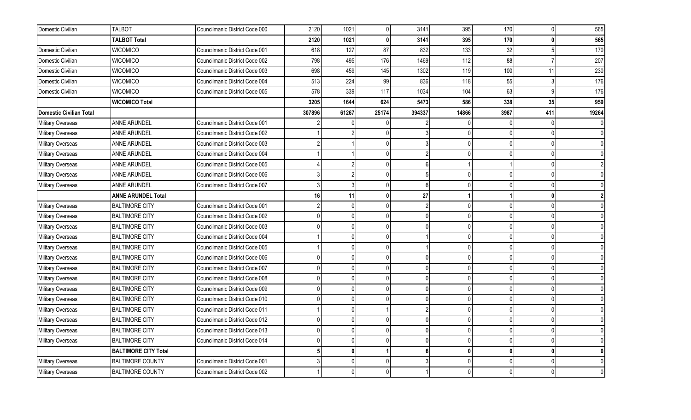| Domestic Civilian       | <b>TALBOT</b>               | Councilmanic District Code 000 | 2120   | 1021         | 0            | 3141           | 395          | 170          |     | 565   |
|-------------------------|-----------------------------|--------------------------------|--------|--------------|--------------|----------------|--------------|--------------|-----|-------|
|                         | <b>TALBOT Total</b>         |                                | 2120   | 1021         | <sup>0</sup> | 3141           | 395          | 170          |     | 565   |
| Domestic Civilian       | <b>WICOMICO</b>             | Councilmanic District Code 001 | 618    | 127          | 87           | 832            | 133          | 32           |     | 170   |
| Domestic Civilian       | <b>WICOMICO</b>             | Councilmanic District Code 002 | 798    | 495          | 176          | 1469           | 112          | 88           |     | 207   |
| Domestic Civilian       | <b>WICOMICO</b>             | Councilmanic District Code 003 | 698    | 459          | 145          | 1302           | 119          | 100          | 11  | 230   |
| Domestic Civilian       | <b>WICOMICO</b>             | Councilmanic District Code 004 | 513    | 224          | 99           | 836            | 118          | 55           |     | 176   |
| Domestic Civilian       | <b>WICOMICO</b>             | Councilmanic District Code 005 | 578    | 339          | 117          | 1034           | 104          | 63           |     | 176   |
|                         | <b>WICOMICO Total</b>       |                                | 3205   | 1644         | 624          | 5473           | 586          | 338          | 35  | 959   |
| Domestic Civilian Total |                             |                                | 307896 | 61267        | 25174        | 394337         | 14866        | 3987         | 411 | 19264 |
| Military Overseas       | ANNE ARUNDEL                | Councilmanic District Code 001 |        |              |              |                |              |              |     |       |
| Military Overseas       | ANNE ARUNDEL                | Councilmanic District Code 002 |        |              |              |                |              | $\cup$       |     |       |
| Military Overseas       | ANNE ARUNDEL                | Councilmanic District Code 003 |        |              | $\Omega$     |                |              | $\cup$       |     |       |
| Military Overseas       | ANNE ARUNDEL                | Councilmanic District Code 004 |        |              | <sup>0</sup> |                |              | $\Omega$     |     |       |
| Military Overseas       | ANNE ARUNDEL                | Councilmanic District Code 005 |        |              | <sup>0</sup> |                |              |              |     |       |
| Military Overseas       | ANNE ARUNDEL                | Councilmanic District Code 006 |        |              | $\Omega$     |                |              | $\Omega$     |     |       |
| Military Overseas       | ANNE ARUNDEL                | Councilmanic District Code 007 |        |              | <sup>0</sup> |                |              |              |     |       |
|                         | <b>ANNE ARUNDEL Total</b>   |                                | 16     | 11           | 0            | 27             |              |              |     |       |
| Military Overseas       | <b>BALTIMORE CITY</b>       | Councilmanic District Code 001 |        | U            | <sup>0</sup> | $\mathcal{P}$  |              | $\cup$       |     |       |
| Military Overseas       | <b>BALTIMORE CITY</b>       | Councilmanic District Code 002 |        | 0            | <sup>0</sup> | $\Omega$       |              | $\cup$       |     |       |
| Military Overseas       | <b>BALTIMORE CITY</b>       | Councilmanic District Code 003 |        | 0            | $\Omega$     | $\Omega$       | $\Omega$     | $\Omega$     |     |       |
| Military Overseas       | <b>BALTIMORE CITY</b>       | Councilmanic District Code 004 |        |              | <sup>0</sup> |                |              | $\Omega$     |     |       |
| Military Overseas       | <b>BALTIMORE CITY</b>       | Councilmanic District Code 005 |        |              | <sup>0</sup> |                |              | $\Omega$     |     |       |
| Military Overseas       | <b>BALTIMORE CITY</b>       | Councilmanic District Code 006 |        | 0            | $\Omega$     | $\Omega$       |              | $\Omega$     |     |       |
| Military Overseas       | <b>BALTIMORE CITY</b>       | Councilmanic District Code 007 |        | U            | <sup>0</sup> | $\Omega$       |              | $\Omega$     |     |       |
| Military Overseas       | <b>BALTIMORE CITY</b>       | Councilmanic District Code 008 |        | 0            | $\Omega$     | $\Omega$       | ſ            | $\Omega$     |     |       |
| Military Overseas       | <b>BALTIMORE CITY</b>       | Councilmanic District Code 009 |        | U            | $\Omega$     | $\Omega$       |              | $\Omega$     |     |       |
| Military Overseas       | <b>BALTIMORE CITY</b>       | Councilmanic District Code 010 |        |              | $\Omega$     |                |              |              |     |       |
| Military Overseas       | <b>BALTIMORE CITY</b>       | Councilmanic District Code 011 |        | U            |              | $\mathfrak{p}$ |              | $\Omega$     |     |       |
| Military Overseas       | <b>BALTIMORE CITY</b>       | Councilmanic District Code 012 |        | U            | <sup>0</sup> | $\mathbf 0$    |              | $\Omega$     |     |       |
| Military Overseas       | <b>BALTIMORE CITY</b>       | Councilmanic District Code 013 |        | 0            | $\Omega$     | $\mathbf{0}$   | U            | $\Omega$     |     |       |
| Military Overseas       | <b>BALTIMORE CITY</b>       | Councilmanic District Code 014 |        | U            | $\Omega$     | $\Omega$       | U            | $\cup$       |     |       |
|                         | <b>BALTIMORE CITY Total</b> |                                |        | 0            |              | 6              | $\mathbf{0}$ | $\mathbf{r}$ |     |       |
| Military Overseas       | <b>BALTIMORE COUNTY</b>     | Councilmanic District Code 001 |        | 0            | $\Omega$     |                |              | $\cup$       |     |       |
| Military Overseas       | <b>BALTIMORE COUNTY</b>     | Councilmanic District Code 002 |        | <sup>0</sup> |              |                |              |              |     |       |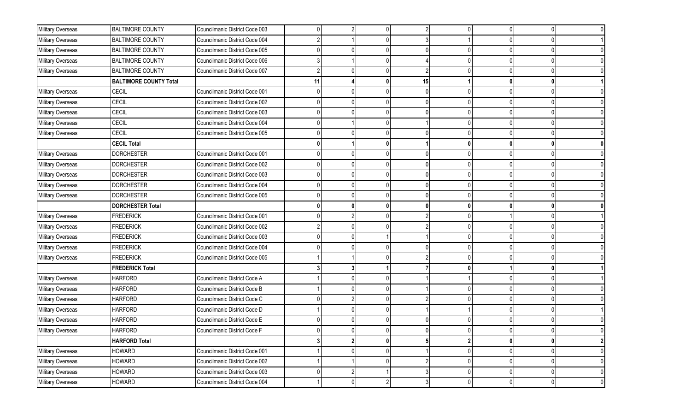| Military Overseas | <b>BALTIMORE COUNTY</b>       | Councilmanic District Code 003 |    | $\overline{2}$ |                |    |              | $\overline{0}$ | 0            |                |
|-------------------|-------------------------------|--------------------------------|----|----------------|----------------|----|--------------|----------------|--------------|----------------|
| Military Overseas | <b>BALTIMORE COUNTY</b>       | Councilmanic District Code 004 |    |                |                |    |              |                |              |                |
| Military Overseas | <b>BALTIMORE COUNTY</b>       | Councilmanic District Code 005 |    |                |                |    |              | $\Omega$       |              |                |
| Military Overseas | <b>BALTIMORE COUNTY</b>       | Councilmanic District Code 006 |    |                |                |    |              | $\overline{0}$ | 0            |                |
| Military Overseas | <b>BALTIMORE COUNTY</b>       | Councilmanic District Code 007 |    |                |                |    |              | $\Omega$       |              |                |
|                   | <b>BALTIMORE COUNTY Total</b> |                                | 11 |                |                | 15 |              | $\mathbf{0}$   |              |                |
| Military Overseas | CECIL                         | Councilmanic District Code 001 |    |                |                |    |              | $\Omega$       |              |                |
| Military Overseas | <b>CECIL</b>                  | Councilmanic District Code 002 |    |                |                |    |              | $\overline{0}$ |              |                |
| Military Overseas | CECIL                         | Councilmanic District Code 003 |    |                |                |    |              | 0              |              |                |
| Military Overseas | CECIL                         | Councilmanic District Code 004 |    |                |                |    |              | $\Omega$       |              |                |
| Military Overseas | <b>CECIL</b>                  | Councilmanic District Code 005 |    |                |                |    |              | $\Omega$       |              |                |
|                   | <b>CECIL Total</b>            |                                |    |                | U              |    | $\mathbf{0}$ | $\mathbf{0}$   |              |                |
| Military Overseas | <b>DORCHESTER</b>             | Councilmanic District Code 001 |    |                |                |    |              | $\Omega$       |              |                |
| Military Overseas | <b>DORCHESTER</b>             | Councilmanic District Code 002 |    |                |                |    |              | $\mathbf{0}$   |              |                |
| Military Overseas | <b>DORCHESTER</b>             | Councilmanic District Code 003 |    |                |                |    |              | $\mathbf{0}$   |              |                |
| Military Overseas | <b>DORCHESTER</b>             | Councilmanic District Code 004 |    |                |                |    |              | $\Omega$       |              |                |
| Military Overseas | <b>DORCHESTER</b>             | Councilmanic District Code 005 |    |                |                |    |              |                |              |                |
|                   | <b>DORCHESTER Total</b>       |                                |    |                |                |    |              | $\bf{0}$       |              |                |
| Military Overseas | <b>FREDERICK</b>              | Councilmanic District Code 001 |    |                |                |    |              |                |              |                |
| Military Overseas | <b>FREDERICK</b>              | Councilmanic District Code 002 |    |                |                |    |              | 0              |              |                |
| Military Overseas | <b>FREDERICK</b>              | Councilmanic District Code 003 |    |                |                |    |              |                |              |                |
| Military Overseas | <b>FREDERICK</b>              | Councilmanic District Code 004 |    |                |                |    |              | $\overline{0}$ |              |                |
| Military Overseas | <b>FREDERICK</b>              | Councilmanic District Code 005 |    |                |                |    |              | $\overline{0}$ | <sup>0</sup> |                |
|                   | <b>FREDERICK Total</b>        |                                |    |                |                |    |              |                |              |                |
| Military Overseas | <b>HARFORD</b>                | Councilmanic District Code A   |    |                |                |    |              | 0              |              |                |
| Military Overseas | <b>HARFORD</b>                | Councilmanic District Code B   |    |                |                |    |              | $\overline{0}$ |              |                |
| Military Overseas | <b>HARFORD</b>                | Councilmanic District Code C   |    | 2              |                |    |              | $\overline{0}$ |              |                |
| Military Overseas | <b>HARFORD</b>                | Councilmanic District Code D   |    |                |                |    |              | $\Omega$       |              |                |
| Military Overseas | <b>HARFORD</b>                | Councilmanic District Code E   |    |                |                |    |              | 0              | <sup>0</sup> |                |
| Military Overseas | <b>HARFORD</b>                | Councilmanic District Code F   |    |                |                |    |              |                |              |                |
|                   | <b>HARFORD Total</b>          |                                |    | 2              | 0              |    |              | $\mathbf{0}$   | 0            | $\mathbf{2}$   |
| Military Overseas | <b>HOWARD</b>                 | Councilmanic District Code 001 |    |                |                |    |              | $\overline{0}$ | 0            | $\overline{0}$ |
| Military Overseas | <b>HOWARD</b>                 | Councilmanic District Code 002 |    |                | 0              |    | $\Omega$     | $\pmb{0}$      | $\Omega$     | 0              |
| Military Overseas | <b>HOWARD</b>                 | Councilmanic District Code 003 |    |                |                |    |              | $\overline{0}$ | $\Omega$     | $\overline{0}$ |
| Military Overseas | <b>HOWARD</b>                 | Councilmanic District Code 004 |    | $\overline{0}$ | $\overline{2}$ |    | $\Omega$     | $\overline{0}$ | 0            | $\overline{0}$ |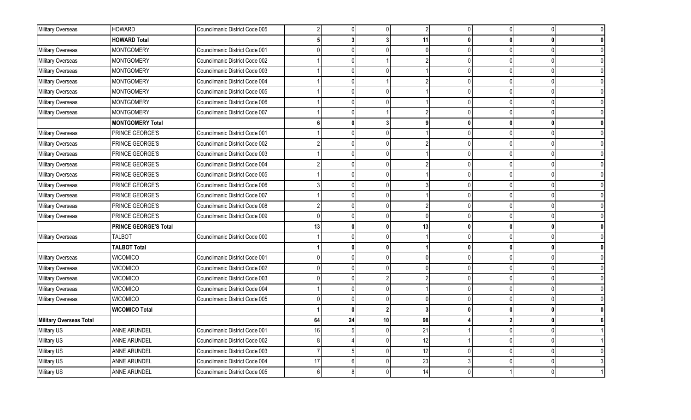| Military Overseas       | <b>HOWARD</b>                | Councilmanic District Code 005 |    | 0            | $\Omega$       | $\sqrt{2}$ |   | $\Omega$     |  |
|-------------------------|------------------------------|--------------------------------|----|--------------|----------------|------------|---|--------------|--|
|                         | <b>HOWARD Total</b>          |                                |    |              |                | 11         | n |              |  |
| Military Overseas       | <b>MONTGOMERY</b>            | Councilmanic District Code 001 |    |              |                | $\cap$     |   |              |  |
| Military Overseas       | <b>MONTGOMERY</b>            | Councilmanic District Code 002 |    |              |                |            |   |              |  |
| Military Overseas       | <b>MONTGOMERY</b>            | Councilmanic District Code 003 |    |              |                |            |   |              |  |
| Military Overseas       | <b>MONTGOMERY</b>            | Councilmanic District Code 004 |    |              |                |            |   |              |  |
| Military Overseas       | <b>MONTGOMERY</b>            | Councilmanic District Code 005 |    |              |                |            |   |              |  |
| Military Overseas       | <b>MONTGOMERY</b>            | Councilmanic District Code 006 |    |              | <sup>n</sup>   |            |   |              |  |
| Military Overseas       | <b>MONTGOMERY</b>            | Councilmanic District Code 007 |    | U            |                |            |   | $\Omega$     |  |
|                         | <b>MONTGOMERY Total</b>      |                                |    | 0            | 3              | q          | n |              |  |
| Military Overseas       | PRINCE GEORGE'S              | Councilmanic District Code 001 |    |              | <sup>0</sup>   |            |   | $\Omega$     |  |
| Military Overseas       | PRINCE GEORGE'S              | Councilmanic District Code 002 |    |              | ŋ              |            |   |              |  |
| Military Overseas       | PRINCE GEORGE'S              | Councilmanic District Code 003 |    |              | $\Omega$       |            |   |              |  |
| Military Overseas       | PRINCE GEORGE'S              | Councilmanic District Code 004 |    |              | <sup>0</sup>   |            |   | $\Omega$     |  |
| Military Overseas       | PRINCE GEORGE'S              | Councilmanic District Code 005 |    |              | <sup>0</sup>   |            |   |              |  |
| Military Overseas       | PRINCE GEORGE'S              | Councilmanic District Code 006 |    |              |                |            |   |              |  |
| Military Overseas       | PRINCE GEORGE'S              | Councilmanic District Code 007 |    |              |                |            |   |              |  |
| Military Overseas       | PRINCE GEORGE'S              | Councilmanic District Code 008 |    |              | <sup>0</sup>   |            |   |              |  |
| Military Overseas       | PRINCE GEORGE'S              | Councilmanic District Code 009 |    | 0            | <sup>0</sup>   | $\Omega$   |   | $\cup$       |  |
|                         | <b>PRINCE GEORGE'S Total</b> |                                | 13 | $\mathbf{0}$ | $\mathbf{0}$   | 13         | ŋ | $\mathbf{r}$ |  |
| Military Overseas       | <b>TALBOT</b>                | Councilmanic District Code 000 |    |              |                |            |   |              |  |
|                         | <b>TALBOT Total</b>          |                                |    | 0            | 0              |            |   |              |  |
| Military Overseas       | <b>WICOMICO</b>              | Councilmanic District Code 001 |    |              | $\Omega$       | $\Omega$   |   | $\Omega$     |  |
| Military Overseas       | <b>WICOMICO</b>              | Councilmanic District Code 002 |    |              | <sup>0</sup>   | $\Omega$   |   |              |  |
| Military Overseas       | <b>WICOMICO</b>              | Councilmanic District Code 003 |    | 0            |                | 2          |   | $\cup$       |  |
| Military Overseas       | <b>WICOMICO</b>              | Councilmanic District Code 004 |    |              | <sup>0</sup>   |            |   |              |  |
| Military Overseas       | WICOMICO                     | Councilmanic District Code 005 |    |              |                |            |   |              |  |
|                         | <b>WICOMICO Total</b>        |                                |    | Û            | $\overline{2}$ | 3          |   | $\mathbf{r}$ |  |
| Military Overseas Total |                              |                                | 64 | 24           | 10             | 98         |   |              |  |
| Military US             | ANNE ARUNDEL                 | Councilmanic District Code 001 | 16 | 5            | <sup>0</sup>   | 21         |   | $\Omega$     |  |
| Military US             | ANNE ARUNDEL                 | Councilmanic District Code 002 |    |              | <sup>0</sup>   | 12         |   | $\Omega$     |  |
| Military US             | ANNE ARUNDEL                 | Councilmanic District Code 003 |    | 5            | ŋ              | 12         |   |              |  |
| Military US             | ANNE ARUNDEL                 | Councilmanic District Code 004 | 17 | 6            | $\Omega$       | 23         |   | $\Omega$     |  |
| Military US             | ANNE ARUNDEL                 | Councilmanic District Code 005 |    | 8            |                | 14         |   |              |  |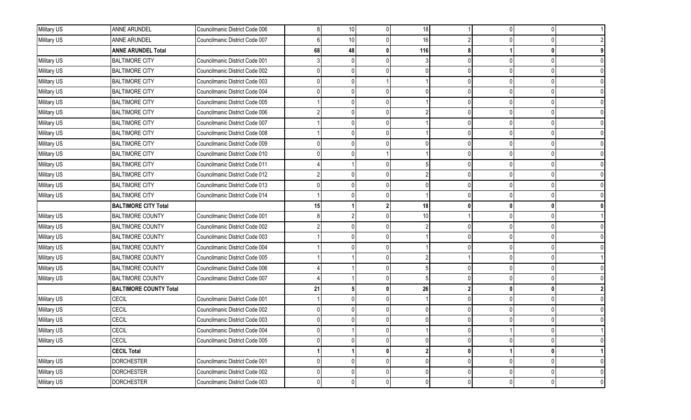| Military US | <b>ANNE ARUNDEL</b>           | Councilmanic District Code 006 |    | 10              | $\overline{0}$ | 18  |              | <sup>0</sup>   | $\Omega$       |   |
|-------------|-------------------------------|--------------------------------|----|-----------------|----------------|-----|--------------|----------------|----------------|---|
| Military US | <b>ANNE ARUNDEL</b>           | Councilmanic District Code 007 |    | 10 <sup>1</sup> |                | 16  |              |                |                |   |
|             | <b>ANNE ARUNDEL Total</b>     |                                | 68 | 48              | 0              | 116 |              |                |                |   |
| Military US | <b>BALTIMORE CITY</b>         | Councilmanic District Code 001 |    | U               |                |     |              | <sup>0</sup>   |                |   |
| Military US | <b>BALTIMORE CITY</b>         | Councilmanic District Code 002 |    |                 |                |     |              |                |                |   |
| Military US | <b>BALTIMORE CITY</b>         | Councilmanic District Code 003 |    |                 |                |     |              |                |                |   |
| Military US | <b>BALTIMORE CITY</b>         | Councilmanic District Code 004 |    |                 |                |     |              | <sup>0</sup>   |                |   |
| Military US | <b>BALTIMORE CITY</b>         | Councilmanic District Code 005 |    |                 | $\Omega$       |     |              | $\Omega$       |                |   |
| Military US | <b>BALTIMORE CITY</b>         | Councilmanic District Code 006 |    | U.              |                |     |              | U              |                |   |
| Military US | <b>BALTIMORE CITY</b>         | Councilmanic District Code 007 |    |                 | $\Omega$       |     |              |                |                |   |
| Military US | <b>BALTIMORE CITY</b>         | Councilmanic District Code 008 |    |                 |                |     |              |                |                |   |
| Military US | <b>BALTIMORE CITY</b>         | Councilmanic District Code 009 |    |                 | n١             |     | $\Omega$     | $\Omega$       |                |   |
| Military US | <b>BALTIMORE CITY</b>         | Councilmanic District Code 010 |    |                 |                |     |              |                |                |   |
| Military US | <b>BALTIMORE CITY</b>         | Councilmanic District Code 011 |    |                 |                |     |              |                |                |   |
| Military US | <b>BALTIMORE CITY</b>         | Councilmanic District Code 012 |    |                 |                |     |              |                |                |   |
| Military US | <b>BALTIMORE CITY</b>         | Councilmanic District Code 013 |    |                 | <sup>n</sup>   |     | $\Omega$     | $\Omega$       |                |   |
| Military US | <b>BALTIMORE CITY</b>         | Councilmanic District Code 014 |    |                 |                |     |              |                |                |   |
|             | <b>BALTIMORE CITY Total</b>   |                                | 15 |                 | $\mathbf{2}$   | 18  |              | 0              |                |   |
| Military US | <b>BALTIMORE COUNTY</b>       | Councilmanic District Code 001 |    |                 |                | 10  |              |                |                |   |
| Military US | <b>BALTIMORE COUNTY</b>       | Councilmanic District Code 002 |    |                 |                |     |              |                |                |   |
| Military US | <b>BALTIMORE COUNTY</b>       | Councilmanic District Code 003 |    |                 |                |     |              |                |                |   |
| Military US | <b>BALTIMORE COUNTY</b>       | Councilmanic District Code 004 |    |                 |                |     |              |                |                |   |
| Military US | <b>BALTIMORE COUNTY</b>       | Councilmanic District Code 005 |    |                 |                |     |              |                |                |   |
| Military US | <b>BALTIMORE COUNTY</b>       | Councilmanic District Code 006 |    |                 |                |     |              |                |                |   |
| Military US | <b>BALTIMORE COUNTY</b>       | Councilmanic District Code 007 |    |                 |                |     |              |                |                |   |
|             | <b>BALTIMORE COUNTY Total</b> |                                | 21 |                 | 0              | 26  |              | $\mathbf{0}$   |                |   |
| Military US | CECIL                         | Councilmanic District Code 001 |    | U               |                |     |              | 0              |                |   |
| Military US | CECIL                         | Councilmanic District Code 002 |    |                 |                |     |              |                |                |   |
| Military US | <b>CECIL</b>                  | Councilmanic District Code 003 |    | <sup>0</sup>    |                |     |              |                |                |   |
| Military US | CECIL                         | Councilmanic District Code 004 |    |                 |                |     |              |                |                |   |
| Military US | CECIL                         | Councilmanic District Code 005 |    | 0               | $\overline{0}$ |     |              | 0              | 0              |   |
|             | <b>CECIL Total</b>            |                                |    |                 | 0              |     | $\mathbf{0}$ |                | 0              |   |
| Military US | <b>DORCHESTER</b>             | Councilmanic District Code 001 |    | 01              | $\overline{0}$ |     | $\Omega$     | $\overline{0}$ | $\overline{0}$ |   |
| Military US | <b>DORCHESTER</b>             | Councilmanic District Code 002 |    | 0               | $\overline{0}$ |     | $\Omega$     | $\Omega$       | 0              |   |
| Military US | <b>DORCHESTER</b>             | Councilmanic District Code 003 |    | $\overline{0}$  | $\overline{0}$ |     | $\Omega$     | $\pmb{0}$      | $\overline{0}$ | 0 |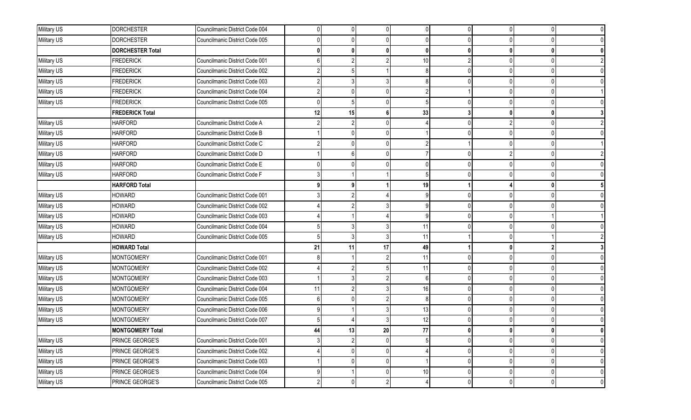| Military US | <b>DORCHESTER</b>       | Councilmanic District Code 004 | U  | $\overline{0}$  | $\Omega$        |    | $\Omega$ | $\Omega$     | $\Omega$       |   |
|-------------|-------------------------|--------------------------------|----|-----------------|-----------------|----|----------|--------------|----------------|---|
| Military US | <b>DORCHESTER</b>       | Councilmanic District Code 005 |    |                 |                 |    |          |              |                |   |
|             | <b>DORCHESTER Total</b> |                                |    | 0               | 0l              |    |          | 0            | O              |   |
| Military US | <b>FREDERICK</b>        | Councilmanic District Code 001 |    |                 | $\overline{2}$  | 10 |          | 0            | 0              |   |
| Military US | <b>FREDERICK</b>        | Councilmanic District Code 002 |    |                 |                 |    |          | <sup>0</sup> |                |   |
| Military US | <b>FREDERICK</b>        | Councilmanic District Code 003 |    |                 |                 |    |          | <sup>0</sup> |                |   |
| Military US | <b>FREDERICK</b>        | Councilmanic District Code 004 |    |                 |                 |    |          | $\Omega$     |                |   |
| Military US | <b>FREDERICK</b>        | Councilmanic District Code 005 |    | 51              |                 |    | $\Omega$ | <sup>0</sup> | 0              |   |
|             | <b>FREDERICK Total</b>  |                                | 12 | 15              | 6               | 33 |          | 0            |                |   |
| Military US | <b>HARFORD</b>          | Councilmanic District Code A   |    |                 |                 |    |          | 2            |                |   |
| Military US | <b>HARFORD</b>          | Councilmanic District Code B   |    |                 |                 |    |          | n            |                |   |
| Military US | <b>HARFORD</b>          | Councilmanic District Code C   |    |                 | U               |    |          | $\Omega$     | $\Omega$       |   |
| Military US | <b>HARFORD</b>          | Councilmanic District Code D   |    |                 |                 |    |          |              |                |   |
| Military US | <b>HARFORD</b>          | Councilmanic District Code E   |    |                 |                 |    |          | <sup>0</sup> |                |   |
| Military US | <b>HARFORD</b>          | Councilmanic District Code F   |    |                 |                 |    |          |              |                |   |
|             | <b>HARFORD Total</b>    |                                |    |                 |                 | 19 |          |              |                |   |
| Military US | <b>HOWARD</b>           | Councilmanic District Code 001 |    |                 |                 |    |          |              |                |   |
| Military US | <b>HOWARD</b>           | Councilmanic District Code 002 |    |                 |                 |    |          | <sup>0</sup> |                |   |
| Military US | <b>HOWARD</b>           | Councilmanic District Code 003 |    |                 |                 |    |          | <sup>0</sup> |                |   |
| Military US | <b>HOWARD</b>           | Councilmanic District Code 004 |    |                 |                 | 11 |          |              |                |   |
| Military US | <b>HOWARD</b>           | Councilmanic District Code 005 |    |                 |                 | 11 |          |              |                |   |
|             | <b>HOWARD Total</b>     |                                | 21 | 11              | 17              | 49 |          | 0            |                |   |
| Military US | <b>MONTGOMERY</b>       | Councilmanic District Code 001 |    |                 |                 | 11 | $\Omega$ | 0            |                |   |
| Military US | <b>MONTGOMERY</b>       | Councilmanic District Code 002 |    |                 |                 | 11 |          | <sup>0</sup> |                |   |
| Military US | <b>MONTGOMERY</b>       | Councilmanic District Code 003 |    |                 |                 |    |          | <sup>0</sup> |                |   |
| Military US | <b>MONTGOMERY</b>       | Councilmanic District Code 004 | 11 |                 |                 | 16 |          | $\Omega$     |                |   |
| Military US | <b>MONTGOMERY</b>       | Councilmanic District Code 005 |    |                 | $\overline{2}$  |    |          | 0            | 0              |   |
| Military US | <b>MONTGOMERY</b>       | Councilmanic District Code 006 |    |                 |                 | 13 |          | <sup>0</sup> |                |   |
| Military US | <b>MONTGOMERY</b>       | Councilmanic District Code 007 |    |                 |                 | 12 |          | 0            |                |   |
|             | <b>MONTGOMERY Total</b> |                                | 44 | 13 <sup>1</sup> | 20 <sup>1</sup> | 77 |          | U            | $\mathbf{0}$   |   |
| Military US | PRINCE GEORGE'S         | Councilmanic District Code 001 |    | $\overline{2}$  |                 |    |          |              | 0              |   |
| Military US | PRINCE GEORGE'S         | Councilmanic District Code 002 |    | 0               |                 |    | $\Omega$ | $\Omega$     | 0              |   |
| Military US | PRINCE GEORGE'S         | Councilmanic District Code 003 |    |                 |                 |    | $\Omega$ |              | 0              |   |
| Military US | PRINCE GEORGE'S         | Councilmanic District Code 004 |    |                 |                 | 10 | U        |              |                | 0 |
| Military US | PRINCE GEORGE'S         | Councilmanic District Code 005 |    | 0               | $\overline{2}$  |    | $\Omega$ | $\mathbf 0$  | $\overline{0}$ | 0 |